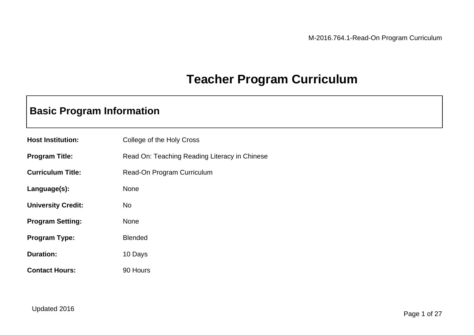### **Teacher Program Curriculum**

### **Basic Program Information**

| <b>Host Institution:</b>  | College of the Holy Cross                     |
|---------------------------|-----------------------------------------------|
| <b>Program Title:</b>     | Read On: Teaching Reading Literacy in Chinese |
| <b>Curriculum Title:</b>  | Read-On Program Curriculum                    |
| Language(s):              | None                                          |
| <b>University Credit:</b> | No.                                           |
| <b>Program Setting:</b>   | None                                          |
| <b>Program Type:</b>      | <b>Blended</b>                                |
| <b>Duration:</b>          | 10 Days                                       |
| <b>Contact Hours:</b>     | 90 Hours                                      |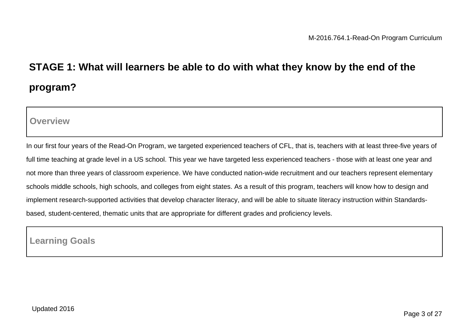# **STAGE 1: What will learners be able to do with what they know by the end of the program?**

**Overview**

In our first four years of the Read-On Program, we targeted experienced teachers of CFL, that is, teachers with at least three-five years of full time teaching at grade level in a US school. This year we have targeted less experienced teachers - those with at least one year and not more than three years of classroom experience. We have conducted nation-wide recruitment and our teachers represent elementary schools middle schools, high schools, and colleges from eight states. As a result of this program, teachers will know how to design and implement research-supported activities that develop character literacy, and will be able to situate literacy instruction within Standardsbased, student-centered, thematic units that are appropriate for different grades and proficiency levels.

**Learning Goals**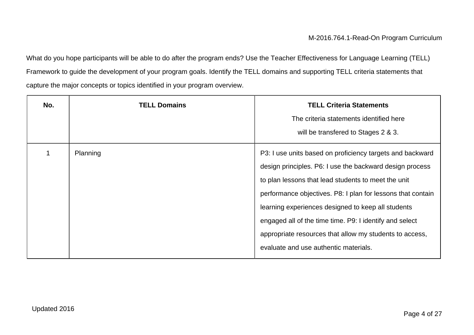What do you hope participants will be able to do after the program ends? Use the Teacher Effectiveness for Language Learning (TELL) Framework to guide the development of your program goals. Identify the TELL domains and supporting TELL criteria statements that capture the major concepts or topics identified in your program overview.

| No. | <b>TELL Domains</b> | <b>TELL Criteria Statements</b><br>The criteria statements identified here                                                                                                                                                                                                                                                                                                                                              |  |
|-----|---------------------|-------------------------------------------------------------------------------------------------------------------------------------------------------------------------------------------------------------------------------------------------------------------------------------------------------------------------------------------------------------------------------------------------------------------------|--|
|     |                     | will be transfered to Stages 2 & 3.                                                                                                                                                                                                                                                                                                                                                                                     |  |
|     | Planning            | P3: I use units based on proficiency targets and backward<br>design principles. P6: I use the backward design process<br>to plan lessons that lead students to meet the unit<br>performance objectives. P8: I plan for lessons that contain<br>learning experiences designed to keep all students<br>engaged all of the time time. P9: I identify and select<br>appropriate resources that allow my students to access, |  |
|     |                     | evaluate and use authentic materials.                                                                                                                                                                                                                                                                                                                                                                                   |  |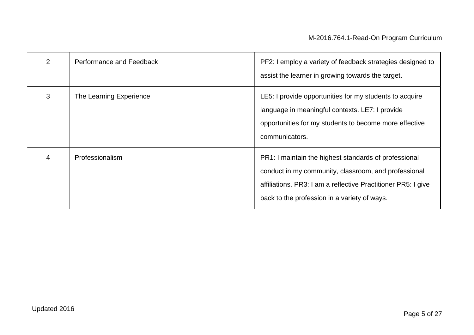| 2 | Performance and Feedback | PF2: I employ a variety of feedback strategies designed to<br>assist the learner in growing towards the target.                                                                                                                |
|---|--------------------------|--------------------------------------------------------------------------------------------------------------------------------------------------------------------------------------------------------------------------------|
| 3 | The Learning Experience  | LE5: I provide opportunities for my students to acquire<br>language in meaningful contexts. LE7: I provide<br>opportunities for my students to become more effective<br>communicators.                                         |
| 4 | Professionalism          | PR1: I maintain the highest standards of professional<br>conduct in my community, classroom, and professional<br>affiliations. PR3: I am a reflective Practitioner PR5: I give<br>back to the profession in a variety of ways. |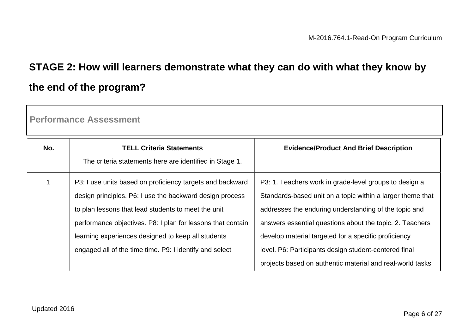## **STAGE 2: How will learners demonstrate what they can do with what they know by the end of the program?**

**Performance Assessment**

| No. | <b>TELL Criteria Statements</b><br>The criteria statements here are identified in Stage 1. | <b>Evidence/Product And Brief Description</b>              |
|-----|--------------------------------------------------------------------------------------------|------------------------------------------------------------|
|     | P3: I use units based on proficiency targets and backward                                  | P3: 1. Teachers work in grade-level groups to design a     |
|     | design principles. P6: I use the backward design process                                   | Standards-based unit on a topic within a larger theme that |
|     | to plan lessons that lead students to meet the unit                                        | addresses the enduring understanding of the topic and      |
|     | performance objectives. P8: I plan for lessons that contain                                | answers essential questions about the topic. 2. Teachers   |
|     | learning experiences designed to keep all students                                         | develop material targeted for a specific proficiency       |
|     | engaged all of the time time. P9: I identify and select                                    | level. P6: Participants design student-centered final      |
|     |                                                                                            | projects based on authentic material and real-world tasks  |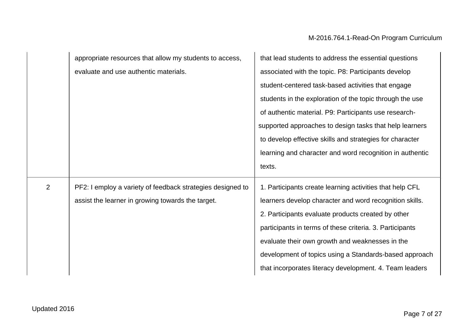|   | appropriate resources that allow my students to access,    | that lead students to address the essential questions    |
|---|------------------------------------------------------------|----------------------------------------------------------|
|   | evaluate and use authentic materials.                      | associated with the topic. P8: Participants develop      |
|   |                                                            | student-centered task-based activities that engage       |
|   |                                                            | students in the exploration of the topic through the use |
|   |                                                            | of authentic material. P9: Participants use research-    |
|   |                                                            | supported approaches to design tasks that help learners  |
|   |                                                            | to develop effective skills and strategies for character |
|   |                                                            | learning and character and word recognition in authentic |
|   |                                                            | texts.                                                   |
|   |                                                            |                                                          |
| 2 | PF2: I employ a variety of feedback strategies designed to | 1. Participants create learning activities that help CFL |
|   | assist the learner in growing towards the target.          | learners develop character and word recognition skills.  |
|   |                                                            | 2. Participants evaluate products created by other       |
|   |                                                            | participants in terms of these criteria. 3. Participants |
|   |                                                            | evaluate their own growth and weaknesses in the          |
|   |                                                            | development of topics using a Standards-based approach   |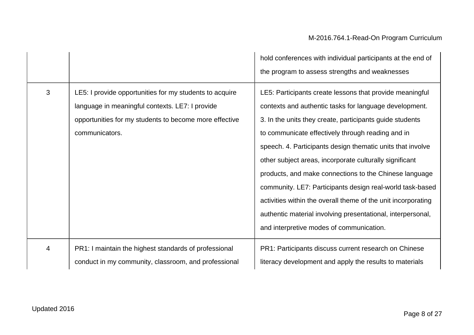|   |                                                                                                                                                                                        | hold conferences with individual participants at the end of<br>the program to assess strengths and weaknesses                                                                                                                                                                                                                                                                                                                                                                                                                                                                                                                                                   |
|---|----------------------------------------------------------------------------------------------------------------------------------------------------------------------------------------|-----------------------------------------------------------------------------------------------------------------------------------------------------------------------------------------------------------------------------------------------------------------------------------------------------------------------------------------------------------------------------------------------------------------------------------------------------------------------------------------------------------------------------------------------------------------------------------------------------------------------------------------------------------------|
| 3 | LE5: I provide opportunities for my students to acquire<br>language in meaningful contexts. LE7: I provide<br>opportunities for my students to become more effective<br>communicators. | LE5: Participants create lessons that provide meaningful<br>contexts and authentic tasks for language development.<br>3. In the units they create, participants guide students<br>to communicate effectively through reading and in<br>speech. 4. Participants design thematic units that involve<br>other subject areas, incorporate culturally significant<br>products, and make connections to the Chinese language<br>community. LE7: Participants design real-world task-based<br>activities within the overall theme of the unit incorporating<br>authentic material involving presentational, interpersonal,<br>and interpretive modes of communication. |
| 4 | PR1: I maintain the highest standards of professional<br>conduct in my community, classroom, and professional                                                                          | PR1: Participants discuss current research on Chinese<br>literacy development and apply the results to materials                                                                                                                                                                                                                                                                                                                                                                                                                                                                                                                                                |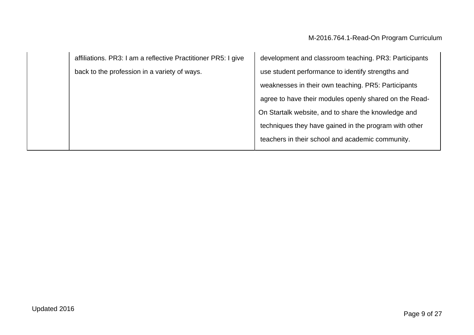| affiliations. PR3: I am a reflective Practitioner PR5: I give | development and classroom teaching. PR3: Participants  |
|---------------------------------------------------------------|--------------------------------------------------------|
| back to the profession in a variety of ways.                  | use student performance to identify strengths and      |
|                                                               | weaknesses in their own teaching. PR5: Participants    |
|                                                               | agree to have their modules openly shared on the Read- |
|                                                               | On Startalk website, and to share the knowledge and    |
|                                                               | techniques they have gained in the program with other  |
|                                                               | teachers in their school and academic community.       |
|                                                               |                                                        |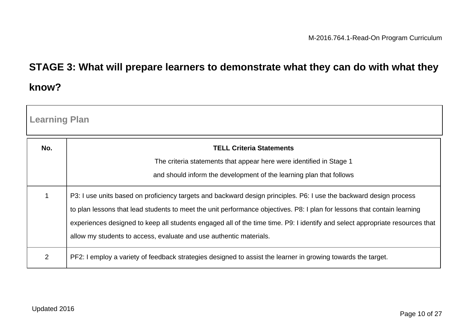### **STAGE 3: What will prepare learners to demonstrate what they can do with what they know?**

| <b>Learning Plan</b> |                                                                                                                                                                                                                                                                                                                                                                                                                                                      |  |  |
|----------------------|------------------------------------------------------------------------------------------------------------------------------------------------------------------------------------------------------------------------------------------------------------------------------------------------------------------------------------------------------------------------------------------------------------------------------------------------------|--|--|
| No.                  | <b>TELL Criteria Statements</b>                                                                                                                                                                                                                                                                                                                                                                                                                      |  |  |
|                      | The criteria statements that appear here were identified in Stage 1                                                                                                                                                                                                                                                                                                                                                                                  |  |  |
|                      | and should inform the development of the learning plan that follows                                                                                                                                                                                                                                                                                                                                                                                  |  |  |
|                      | P3: I use units based on proficiency targets and backward design principles. P6: I use the backward design process<br>to plan lessons that lead students to meet the unit performance objectives. P8: I plan for lessons that contain learning<br>experiences designed to keep all students engaged all of the time time. P9: I identify and select appropriate resources that<br>allow my students to access, evaluate and use authentic materials. |  |  |
| $\overline{2}$       | PF2: I employ a variety of feedback strategies designed to assist the learner in growing towards the target.                                                                                                                                                                                                                                                                                                                                         |  |  |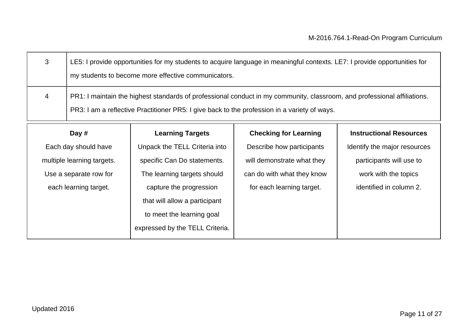| 3 | LE5: I provide opportunities for my students to acquire language in meaningful contexts. LE7: I provide opportunities for<br>my students to become more effective communicators.                                         |  |  |  |  |
|---|--------------------------------------------------------------------------------------------------------------------------------------------------------------------------------------------------------------------------|--|--|--|--|
| 4 | PR1: I maintain the highest standards of professional conduct in my community, classroom, and professional affiliations.<br>PR3: I am a reflective Practitioner PR5: I give back to the profession in a variety of ways. |  |  |  |  |
|   | <b>Checking for Learning</b><br><b>Learning Targets</b><br><b>Instructional Resources</b><br>Day #<br>Unpack the TELL Criteria into<br>Identify the major resources<br>Each day should have<br>Describe how participants |  |  |  |  |
|   |                                                                                                                                                                                                                          |  |  |  |  |

| Each day should have       | Unpack the TELL Criteria into   | Describe how participants  | Identify the major resources |
|----------------------------|---------------------------------|----------------------------|------------------------------|
| multiple learning targets. | specific Can Do statements.     | will demonstrate what they | participants will use to     |
| Use a separate row for     | The learning targets should     | can do with what they know | work with the topics         |
| each learning target.      | capture the progression         | for each learning target.  | identified in column 2.      |
|                            | that will allow a participant   |                            |                              |
|                            | to meet the learning goal       |                            |                              |
|                            | expressed by the TELL Criteria. |                            |                              |
|                            |                                 |                            |                              |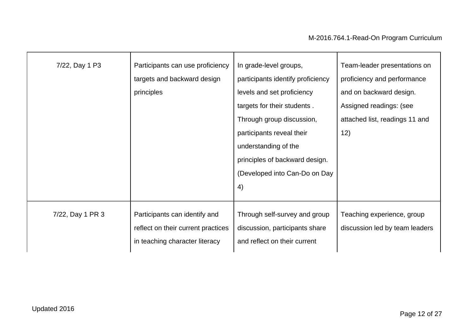| 7/22, Day 1 P3   | Participants can use proficiency<br>targets and backward design<br>principles                         | In grade-level groups,<br>participants identify proficiency<br>levels and set proficiency<br>targets for their students.<br>Through group discussion,<br>participants reveal their<br>understanding of the<br>principles of backward design.<br>(Developed into Can-Do on Day<br>4) | Team-leader presentations on<br>proficiency and performance<br>and on backward design.<br>Assigned readings: (see<br>attached list, readings 11 and<br>12) |
|------------------|-------------------------------------------------------------------------------------------------------|-------------------------------------------------------------------------------------------------------------------------------------------------------------------------------------------------------------------------------------------------------------------------------------|------------------------------------------------------------------------------------------------------------------------------------------------------------|
| 7/22, Day 1 PR 3 | Participants can identify and<br>reflect on their current practices<br>in teaching character literacy | Through self-survey and group<br>discussion, participants share<br>and reflect on their current                                                                                                                                                                                     | Teaching experience, group<br>discussion led by team leaders                                                                                               |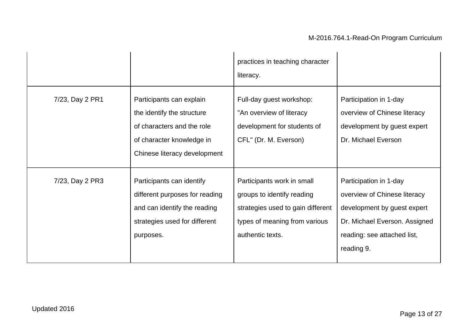|                 |                                                                                                                                                   | practices in teaching character<br>literacy.                                                                                                       |                                                                                                                                                                     |
|-----------------|---------------------------------------------------------------------------------------------------------------------------------------------------|----------------------------------------------------------------------------------------------------------------------------------------------------|---------------------------------------------------------------------------------------------------------------------------------------------------------------------|
| 7/23, Day 2 PR1 | Participants can explain<br>the identify the structure<br>of characters and the role<br>of character knowledge in<br>Chinese literacy development | Full-day guest workshop:<br>"An overview of literacy<br>development for students of<br>CFL" (Dr. M. Everson)                                       | Participation in 1-day<br>overview of Chinese literacy<br>development by guest expert<br>Dr. Michael Everson                                                        |
| 7/23, Day 2 PR3 | Participants can identify<br>different purposes for reading<br>and can identify the reading<br>strategies used for different<br>purposes.         | Participants work in small<br>groups to identify reading<br>strategies used to gain different<br>types of meaning from various<br>authentic texts. | Participation in 1-day<br>overview of Chinese literacy<br>development by guest expert<br>Dr. Michael Everson. Assigned<br>reading: see attached list,<br>reading 9. |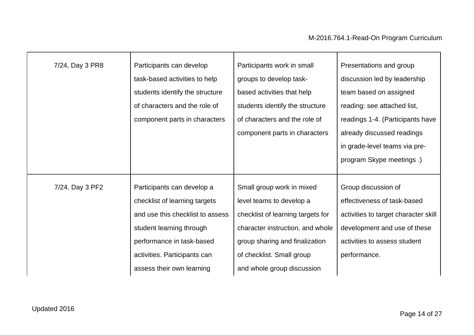| 7/24, Day 3 PR8 | Participants can develop<br>task-based activities to help<br>students identify the structure<br>of characters and the role of<br>component parts in characters                                                        | Participants work in small<br>groups to develop task-<br>based activities that help<br>students identify the structure<br>of characters and the role of<br>component parts in characters                                    | Presentations and group<br>discussion led by leadership<br>team based on assigned<br>reading: see attached list,<br>readings 1-4. (Participants have<br>already discussed readings<br>in grade-level teams via pre-<br>program Skype meetings.) |
|-----------------|-----------------------------------------------------------------------------------------------------------------------------------------------------------------------------------------------------------------------|-----------------------------------------------------------------------------------------------------------------------------------------------------------------------------------------------------------------------------|-------------------------------------------------------------------------------------------------------------------------------------------------------------------------------------------------------------------------------------------------|
| 7/24, Day 3 PF2 | Participants can develop a<br>checklist of learning targets<br>and use this checklist to assess<br>student learning through<br>performance in task-based<br>activities. Participants can<br>assess their own learning | Small group work in mixed<br>level teams to develop a<br>checklist of learning targets for<br>character instruction, and whole<br>group sharing and finalization<br>of checklist. Small group<br>and whole group discussion | Group discussion of<br>effectiveness of task-based<br>activities to target character skill<br>development and use of these<br>activities to assess student<br>performance.                                                                      |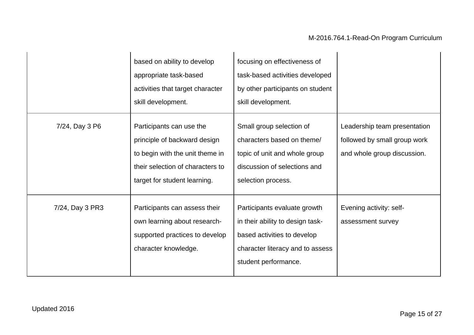|                 | based on ability to develop<br>appropriate task-based<br>activities that target character<br>skill development.                                                 | focusing on effectiveness of<br>task-based activities developed<br>by other participants on student<br>skill development.                                   |                                                                                             |
|-----------------|-----------------------------------------------------------------------------------------------------------------------------------------------------------------|-------------------------------------------------------------------------------------------------------------------------------------------------------------|---------------------------------------------------------------------------------------------|
| 7/24, Day 3 P6  | Participants can use the<br>principle of backward design<br>to begin with the unit theme in<br>their selection of characters to<br>target for student learning. | Small group selection of<br>characters based on theme/<br>topic of unit and whole group<br>discussion of selections and<br>selection process.               | Leadership team presentation<br>followed by small group work<br>and whole group discussion. |
| 7/24, Day 3 PR3 | Participants can assess their<br>own learning about research-<br>supported practices to develop<br>character knowledge.                                         | Participants evaluate growth<br>in their ability to design task-<br>based activities to develop<br>character literacy and to assess<br>student performance. | Evening activity: self-<br>assessment survey                                                |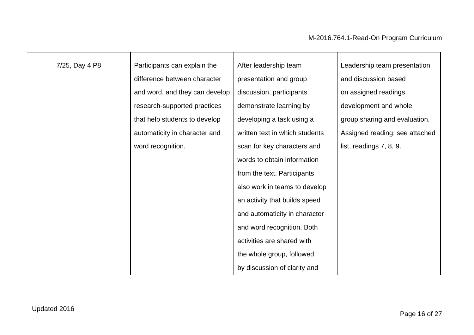| 7/25, Day 4 P8 | Participants can explain the   | After leadership team          | Leadership team presentation   |
|----------------|--------------------------------|--------------------------------|--------------------------------|
|                | difference between character   | presentation and group         | and discussion based           |
|                | and word, and they can develop | discussion, participants       | on assigned readings.          |
|                | research-supported practices   | demonstrate learning by        | development and whole          |
|                | that help students to develop  | developing a task using a      | group sharing and evaluation.  |
|                | automaticity in character and  | written text in which students | Assigned reading: see attached |
|                | word recognition.              | scan for key characters and    | list, readings 7, 8, 9.        |
|                |                                | words to obtain information    |                                |
|                |                                | from the text. Participants    |                                |
|                |                                | also work in teams to develop  |                                |
|                |                                | an activity that builds speed  |                                |
|                |                                | and automaticity in character  |                                |
|                |                                | and word recognition. Both     |                                |
|                |                                | activities are shared with     |                                |
|                |                                | the whole group, followed      |                                |
|                |                                | by discussion of clarity and   |                                |
|                |                                |                                |                                |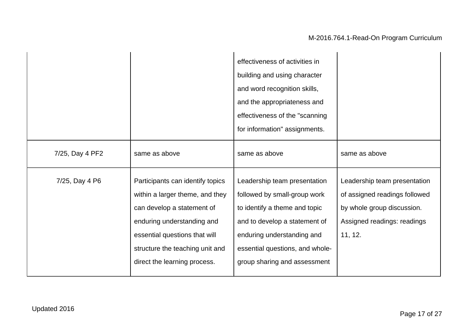|                 |                                                                                                                                                                                                                                     | effectiveness of activities in<br>building and using character<br>and word recognition skills,<br>and the appropriateness and<br>effectiveness of the "scanning<br>for information" assignments.                                |                                                                                                                                       |
|-----------------|-------------------------------------------------------------------------------------------------------------------------------------------------------------------------------------------------------------------------------------|---------------------------------------------------------------------------------------------------------------------------------------------------------------------------------------------------------------------------------|---------------------------------------------------------------------------------------------------------------------------------------|
| 7/25, Day 4 PF2 | same as above                                                                                                                                                                                                                       | same as above                                                                                                                                                                                                                   | same as above                                                                                                                         |
| 7/25, Day 4 P6  | Participants can identify topics<br>within a larger theme, and they<br>can develop a statement of<br>enduring understanding and<br>essential questions that will<br>structure the teaching unit and<br>direct the learning process. | Leadership team presentation<br>followed by small-group work<br>to identify a theme and topic<br>and to develop a statement of<br>enduring understanding and<br>essential questions, and whole-<br>group sharing and assessment | Leadership team presentation<br>of assigned readings followed<br>by whole group discussion.<br>Assigned readings: readings<br>11, 12. |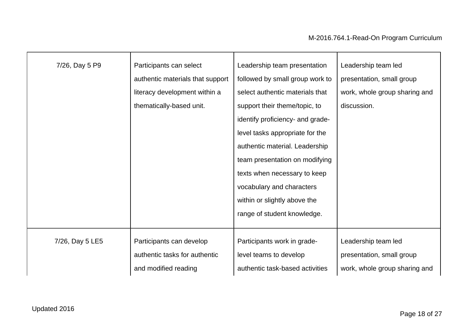| 7/26, Day 5 P9  | Participants can select<br>authentic materials that support<br>literacy development within a<br>thematically-based unit. | Leadership team presentation<br>followed by small group work to<br>select authentic materials that<br>support their theme/topic, to<br>identify proficiency- and grade-<br>level tasks appropriate for the<br>authentic material. Leadership<br>team presentation on modifying<br>texts when necessary to keep<br>vocabulary and characters<br>within or slightly above the | Leadership team led<br>presentation, small group<br>work, whole group sharing and<br>discussion. |
|-----------------|--------------------------------------------------------------------------------------------------------------------------|-----------------------------------------------------------------------------------------------------------------------------------------------------------------------------------------------------------------------------------------------------------------------------------------------------------------------------------------------------------------------------|--------------------------------------------------------------------------------------------------|
|                 |                                                                                                                          | range of student knowledge.                                                                                                                                                                                                                                                                                                                                                 |                                                                                                  |
| 7/26, Day 5 LE5 | Participants can develop<br>authentic tasks for authentic<br>and modified reading                                        | Participants work in grade-<br>level teams to develop<br>authentic task-based activities                                                                                                                                                                                                                                                                                    | Leadership team led<br>presentation, small group<br>work, whole group sharing and                |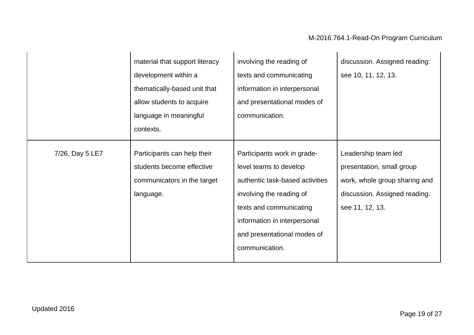|                 | material that support literacy<br>development within a<br>thematically-based unit that<br>allow students to acquire<br>language in meaningful | involving the reading of<br>texts and communicating<br>information in interpersonal<br>and presentational modes of<br>communication.                                                                                             | discussion. Assigned reading:<br>see 10, 11, 12, 13.                                                                                  |
|-----------------|-----------------------------------------------------------------------------------------------------------------------------------------------|----------------------------------------------------------------------------------------------------------------------------------------------------------------------------------------------------------------------------------|---------------------------------------------------------------------------------------------------------------------------------------|
|                 | contexts.                                                                                                                                     |                                                                                                                                                                                                                                  |                                                                                                                                       |
| 7/26, Day 5 LE7 | Participants can help their<br>students become effective<br>communicators in the target<br>language.                                          | Participants work in grade-<br>level teams to develop<br>authentic task-based activities<br>involving the reading of<br>texts and communicating<br>information in interpersonal<br>and presentational modes of<br>communication. | Leadership team led<br>presentation, small group<br>work, whole group sharing and<br>discussion. Assigned reading:<br>see 11, 12, 13. |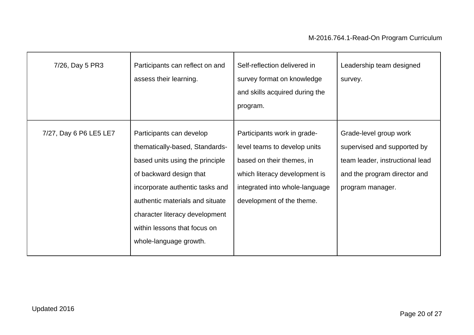| 7/26, Day 5 PR3        | Participants can reflect on and<br>assess their learning.                                                                                                                                                                                                                                  | Self-reflection delivered in<br>survey format on knowledge<br>and skills acquired during the<br>program.                                                                                 | Leadership team designed<br>survey.                                                                                                          |
|------------------------|--------------------------------------------------------------------------------------------------------------------------------------------------------------------------------------------------------------------------------------------------------------------------------------------|------------------------------------------------------------------------------------------------------------------------------------------------------------------------------------------|----------------------------------------------------------------------------------------------------------------------------------------------|
| 7/27, Day 6 P6 LE5 LE7 | Participants can develop<br>thematically-based, Standards-<br>based units using the principle<br>of backward design that<br>incorporate authentic tasks and<br>authentic materials and situate<br>character literacy development<br>within lessons that focus on<br>whole-language growth. | Participants work in grade-<br>level teams to develop units<br>based on their themes, in<br>which literacy development is<br>integrated into whole-language<br>development of the theme. | Grade-level group work<br>supervised and supported by<br>team leader, instructional lead<br>and the program director and<br>program manager. |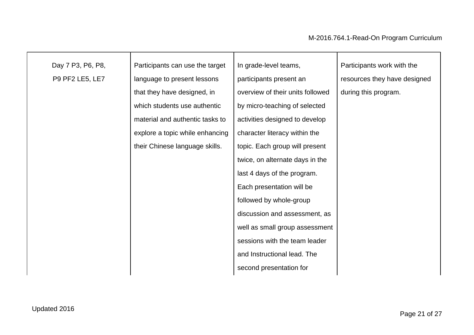| Day 7 P3, P6, P8, | Participants can use the target | In grade-level teams,            | Participants work with the   |
|-------------------|---------------------------------|----------------------------------|------------------------------|
| P9 PF2 LE5, LE7   | language to present lessons     | participants present an          | resources they have designed |
|                   | that they have designed, in     | overview of their units followed | during this program.         |
|                   | which students use authentic    | by micro-teaching of selected    |                              |
|                   | material and authentic tasks to | activities designed to develop   |                              |
|                   | explore a topic while enhancing | character literacy within the    |                              |
|                   | their Chinese language skills.  | topic. Each group will present   |                              |
|                   |                                 | twice, on alternate days in the  |                              |
|                   |                                 | last 4 days of the program.      |                              |
|                   |                                 | Each presentation will be        |                              |
|                   |                                 | followed by whole-group          |                              |
|                   |                                 | discussion and assessment, as    |                              |
|                   |                                 | well as small group assessment   |                              |
|                   |                                 | sessions with the team leader    |                              |
|                   |                                 | and Instructional lead. The      |                              |
|                   |                                 | second presentation for          |                              |
|                   |                                 |                                  |                              |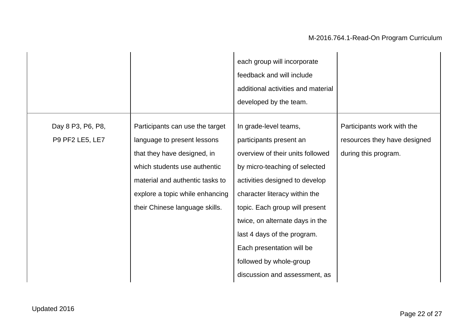|                                             |                                                                                                                                                                  | each group will incorporate<br>feedback and will include<br>additional activities and material<br>developed by the team.                                                                                                   |                                                                                    |
|---------------------------------------------|------------------------------------------------------------------------------------------------------------------------------------------------------------------|----------------------------------------------------------------------------------------------------------------------------------------------------------------------------------------------------------------------------|------------------------------------------------------------------------------------|
| Day 8 P3, P6, P8,<br><b>P9 PF2 LE5, LE7</b> | Participants can use the target<br>language to present lessons<br>that they have designed, in<br>which students use authentic<br>material and authentic tasks to | In grade-level teams,<br>participants present an<br>overview of their units followed<br>by micro-teaching of selected<br>activities designed to develop                                                                    | Participants work with the<br>resources they have designed<br>during this program. |
|                                             | explore a topic while enhancing<br>their Chinese language skills.                                                                                                | character literacy within the<br>topic. Each group will present<br>twice, on alternate days in the<br>last 4 days of the program.<br>Each presentation will be<br>followed by whole-group<br>discussion and assessment, as |                                                                                    |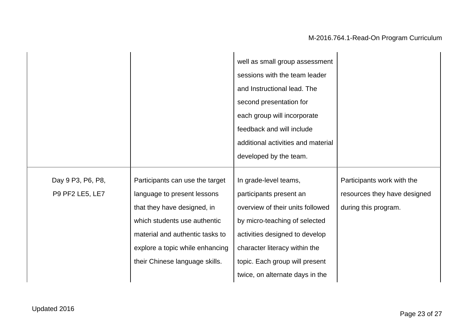|                                      |                                                                                                                                                                                                                                       | well as small group assessment<br>sessions with the team leader<br>and Instructional lead. The<br>second presentation for<br>each group will incorporate<br>feedback and will include<br>additional activities and material<br>developed by the team.         |                                                                                    |
|--------------------------------------|---------------------------------------------------------------------------------------------------------------------------------------------------------------------------------------------------------------------------------------|---------------------------------------------------------------------------------------------------------------------------------------------------------------------------------------------------------------------------------------------------------------|------------------------------------------------------------------------------------|
| Day 9 P3, P6, P8,<br>P9 PF2 LE5, LE7 | Participants can use the target<br>language to present lessons<br>that they have designed, in<br>which students use authentic<br>material and authentic tasks to<br>explore a topic while enhancing<br>their Chinese language skills. | In grade-level teams,<br>participants present an<br>overview of their units followed<br>by micro-teaching of selected<br>activities designed to develop<br>character literacy within the<br>topic. Each group will present<br>twice, on alternate days in the | Participants work with the<br>resources they have designed<br>during this program. |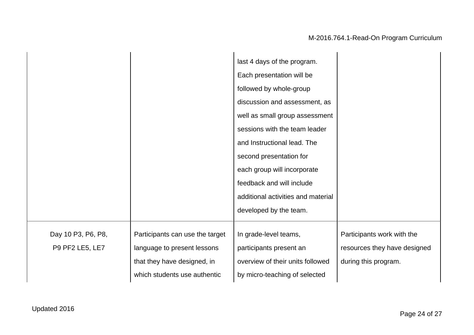|                                       |                                                                                                                               | last 4 days of the program.<br>Each presentation will be<br>followed by whole-group<br>discussion and assessment, as<br>well as small group assessment<br>sessions with the team leader<br>and Instructional lead. The<br>second presentation for<br>each group will incorporate<br>feedback and will include<br>additional activities and material<br>developed by the team. |                                                                                    |
|---------------------------------------|-------------------------------------------------------------------------------------------------------------------------------|-------------------------------------------------------------------------------------------------------------------------------------------------------------------------------------------------------------------------------------------------------------------------------------------------------------------------------------------------------------------------------|------------------------------------------------------------------------------------|
| Day 10 P3, P6, P8,<br>P9 PF2 LE5, LE7 | Participants can use the target<br>language to present lessons<br>that they have designed, in<br>which students use authentic | In grade-level teams,<br>participants present an<br>overview of their units followed<br>by micro-teaching of selected                                                                                                                                                                                                                                                         | Participants work with the<br>resources they have designed<br>during this program. |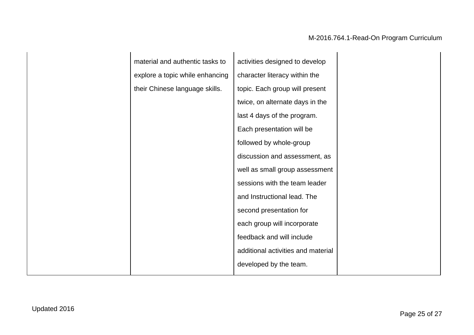| material and authentic tasks to | activities designed to develop     |  |
|---------------------------------|------------------------------------|--|
| explore a topic while enhancing | character literacy within the      |  |
| their Chinese language skills.  | topic. Each group will present     |  |
|                                 | twice, on alternate days in the    |  |
|                                 | last 4 days of the program.        |  |
|                                 | Each presentation will be          |  |
|                                 | followed by whole-group            |  |
|                                 | discussion and assessment, as      |  |
|                                 | well as small group assessment     |  |
|                                 | sessions with the team leader      |  |
|                                 | and Instructional lead. The        |  |
|                                 | second presentation for            |  |
|                                 | each group will incorporate        |  |
|                                 | feedback and will include          |  |
|                                 | additional activities and material |  |
|                                 | developed by the team.             |  |
|                                 |                                    |  |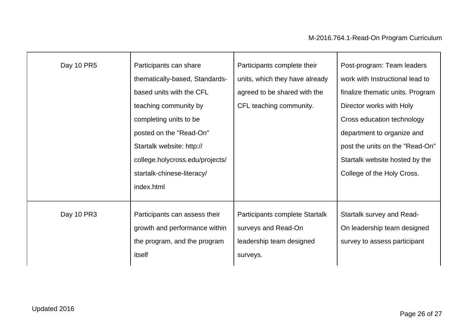| Day 10 PR5 | Participants can share          | Participants complete their    | Post-program: Team leaders       |
|------------|---------------------------------|--------------------------------|----------------------------------|
|            |                                 |                                |                                  |
|            | thematically-based, Standards-  | units, which they have already | work with Instructional lead to  |
|            | based units with the CFL        | agreed to be shared with the   | finalize thematic units. Program |
|            | teaching community by           | CFL teaching community.        | Director works with Holy         |
|            | completing units to be          |                                | Cross education technology       |
|            | posted on the "Read-On"         |                                | department to organize and       |
|            | Startalk website: http://       |                                | post the units on the "Read-On"  |
|            | college.holycross.edu/projects/ |                                | Startalk website hosted by the   |
|            | startalk-chinese-literacy/      |                                | College of the Holy Cross.       |
|            | index.html                      |                                |                                  |
|            |                                 |                                |                                  |
| Day 10 PR3 | Participants can assess their   | Participants complete Startalk | Startalk survey and Read-        |
|            |                                 |                                |                                  |
|            | growth and performance within   | surveys and Read-On            | On leadership team designed      |
|            | the program, and the program    | leadership team designed       | survey to assess participant     |
|            | itself                          | surveys.                       |                                  |
|            |                                 |                                |                                  |